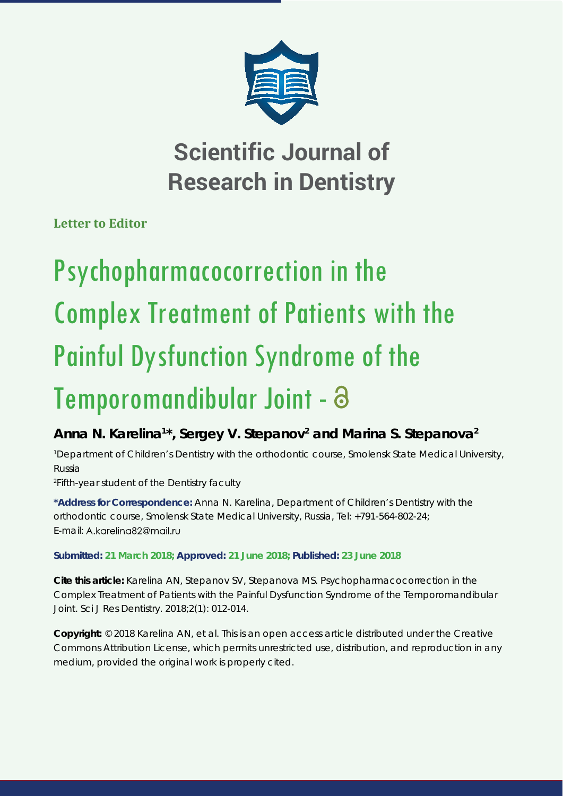

## **Scientific Journal of Research in Dentistry**

**Letter to Editor**

# Psychopharmacocorrection in the Complex Treatment of Patients with the Painful Dysfunction Syndrome of the Temporomandibular Joint -

### Anna N. Karelina<sup>1\*</sup>, Sergey V. Stepanov<sup>2</sup> and Marina S. Stepanova<sup>2</sup>

*1 Department of Children's Dentistry with the orthodontic course, Smolensk State Medical University, Russia*

*2 Fifth-year student of the Dentistry faculty*

**\*Address for Correspondence:** Anna N. Karelina, Department of Children's Dentistry with the orthodontic course, Smolensk State Medical University, Russia, Tel: +791-564-802-24; E-mail: A.kareling82@mail.ru

#### **Submitted: 21 March 2018; Approved: 21 June 2018; Published: 23 June 2018**

**Cite this article:** Karelina AN, Stepanov SV, Stepanova MS. Psychopharmacocorrection in the Complex Treatment of Patients with the Painful Dysfunction Syndrome of the Temporomandibular Joint. Sci J Res Dentistry. 2018;2(1): 012-014.

**Copyright:** © 2018 Karelina AN, et al. This is an open access article distributed under the Creative Commons Attribution License, which permits unrestricted use, distribution, and reproduction in any medium, provided the original work is properly cited.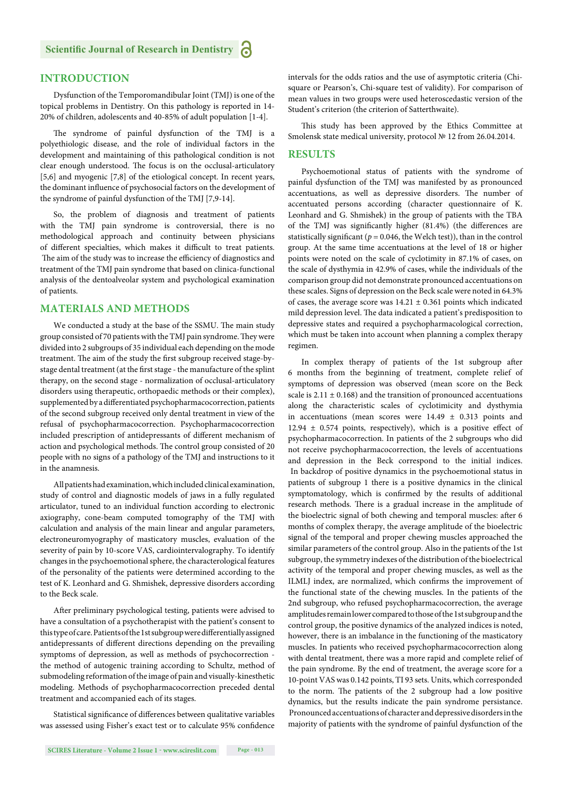#### **INTRODUCTION**

Dysfunction of the Temporomandibular Joint (TMJ) is one of the topical problems in Dentistry. On this pathology is reported in 14- 20% of children, adolescents and 40-85% of adult population [1-4].

The syndrome of painful dysfunction of the TMJ is a polyethiologic disease, and the role of individual factors in the development and maintaining of this pathological condition is not clear enough understood. The focus is on the occlusal-articulatory [5,6] and myogenic [7,8] of the etiological concept. In recent years, the dominant influence of psychosocial factors on the development of the syndrome of painful dysfunction of the TMJ [7,9-14].

So, the problem of diagnosis and treatment of patients with the TMJ pain syndrome is controversial, there is no methodological approach and continuity between physicians of different specialties, which makes it difficult to treat patients. The aim of the study was to increase the efficiency of diagnostics and treatment of the TMJ pain syndrome that based on clinica-functional analysis of the dentoalveolar system and psychological examination of patients.

#### **MATERIALS AND METHODS**

We conducted a study at the base of the SSMU. The main study group consisted of 70 patients with the TMJ pain syndrome. They were divided into 2 subgroups of 35 individual each depending on the mode treatment. The aim of the study the first subgroup received stage-bystage dental treatment (at the first stage - the manufacture of the splint therapy, on the second stage - normalization of occlusal-articulatory disorders using therapeutic, orthopaedic methods or their complex), supplemented by a differentiated psychopharmacocorrection, patients of the second subgroup received only dental treatment in view of the refusal of psychopharmacocorrection. Psychopharmacocorrection included prescription of antidepressants of different mechanism of action and psychological methods. The control group consisted of 20 people with no signs of a pathology of the TMJ and instructions to it in the anamnesis.

All patients had examination, which included clinical examination, study of control and diagnostic models of jaws in a fully regulated articulator, tuned to an individual function according to electronic axiography, cone-beam computed tomography of the TMJ with calculation and analysis of the main linear and angular parameters, electroneuromyography of masticatory muscles, evaluation of the severity of pain by 10-score VAS, cardiointervalography. To identify changes in the psychoemotional sphere, the characterological features of the personality of the patients were determined according to the test of K. Leonhard and G. Shmishek, depressive disorders according to the Beck scale.

After preliminary psychological testing, patients were advised to have a consultation of a psychotherapist with the patient's consent to this type of care. Patients of the 1st subgroup were differentially assigned antidepressants of different directions depending on the prevailing symptoms of depression, as well as methods of psychocorrection the method of autogenic training according to Schultz, method of submodeling reformation of the image of pain and visually-kinesthetic modeling. Methods of psychopharmacocorrection preceded dental treatment and accompanied each of its stages.

Statistical significance of differences between qualitative variables was assessed using Fisher's exact test or to calculate 95% confidence intervals for the odds ratios and the use of asymptotic criteria (Chisquare or Pearson's, Chi-square test of validity). For comparison of mean values in two groups were used heteroscedastic version of the Student's criterion (the criterion of Satterthwaite).

This study has been approved by the Ethics Committee at Smolensk state medical university, protocol № 12 from 26.04.2014.

#### **RESULTS**

Psychoemotional status of patients with the syndrome of painful dysfunction of the TMJ was manifested by as pronounced accentuations, as well as depressive disorders. The number of accentuated persons according (character questionnaire of K. Leonhard and G. Shmishek) in the group of patients with the TBA of the TMJ was significantly higher (81.4%) (the differences are statistically significant ( $p = 0.046$ , the Welch test)), than in the control group. At the same time accentuations at the level of 18 or higher points were noted on the scale of cyclotimity in 87.1% of cases, on the scale of dysthymia in 42.9% of cases, while the individuals of the comparison group did not demonstrate pronounced accentuations on these scales. Signs of depression on the Beck scale were noted in 64.3% of cases, the average score was  $14.21 \pm 0.361$  points which indicated mild depression level. The data indicated a patient's predisposition to depressive states and required a psychopharmacological correction, which must be taken into account when planning a complex therapy regimen.

In complex therapy of patients of the 1st subgroup after 6 months from the beginning of treatment, complete relief of symptoms of depression was observed (mean score on the Beck scale is  $2.11 \pm 0.168$ ) and the transition of pronounced accentuations along the characteristic scales of cyclotimicity and dysthymia in accentuations (mean scores were  $14.49 \pm 0.313$  points and 12.94  $\pm$  0.574 points, respectively), which is a positive effect of psychopharmacocorrection. In patients of the 2 subgroups who did not receive psychopharmacocorrection, the levels of accentuations and depression in the Beck correspond to the initial indices. In backdrop of positive dynamics in the psychoemotional status in patients of subgroup 1 there is a positive dynamics in the clinical symptomatology, which is confirmed by the results of additional research methods. There is a gradual increase in the amplitude of the bioelectric signal of both chewing and temporal muscles: after 6 months of complex therapy, the average amplitude of the bioelectric signal of the temporal and proper chewing muscles approached the similar parameters of the control group. Also in the patients of the 1st subgroup, the symmetry indexes of the distribution of the bioelectrical activity of the temporal and proper chewing muscles, as well as the ILMLJ index, are normalized, which confirms the improvement of the functional state of the chewing muscles. In the patients of the 2nd subgroup, who refused psychopharmacocorrection, the average amplitudes remain lower compared to those of the 1st subgroup and the control group, the positive dynamics of the analyzed indices is noted, however, there is an imbalance in the functioning of the masticatory muscles. In patients who received psychopharmacocorrection along with dental treatment, there was a more rapid and complete relief of the pain syndrome. By the end of treatment, the average score for a 10-point VAS was 0.142 points, TI 93 sets. Units, which corresponded to the norm. The patients of the 2 subgroup had a low positive dynamics, but the results indicate the pain syndrome persistance. Pronounced accentuations of character and depressive disorders in the majority of patients with the syndrome of painful dysfunction of the